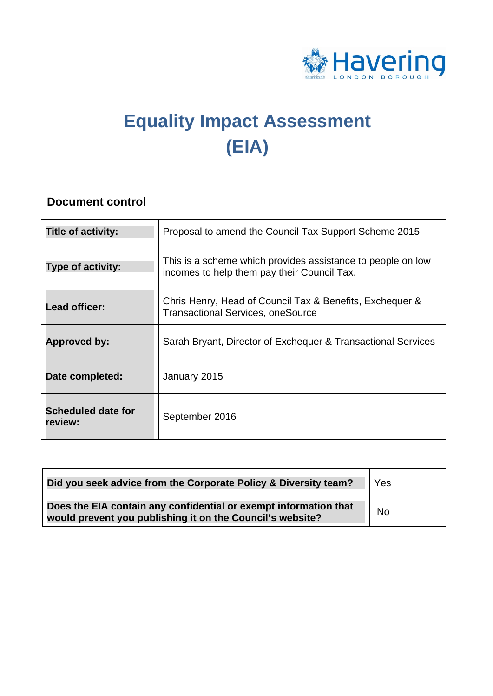

# **Equality Impact Assessment (EIA)**

## **Document control**

| <b>Title of activity:</b>            | Proposal to amend the Council Tax Support Scheme 2015                                                      |
|--------------------------------------|------------------------------------------------------------------------------------------------------------|
| Type of activity:                    | This is a scheme which provides assistance to people on low<br>incomes to help them pay their Council Tax. |
| Lead officer:                        | Chris Henry, Head of Council Tax & Benefits, Exchequer &<br><b>Transactional Services, oneSource</b>       |
| Approved by:                         | Sarah Bryant, Director of Exchequer & Transactional Services                                               |
| Date completed:                      | January 2015                                                                                               |
| <b>Scheduled date for</b><br>review: | September 2016                                                                                             |

| Did you seek advice from the Corporate Policy & Diversity team?                                                               | Yes       |
|-------------------------------------------------------------------------------------------------------------------------------|-----------|
| Does the EIA contain any confidential or exempt information that<br>would prevent you publishing it on the Council's website? | <b>No</b> |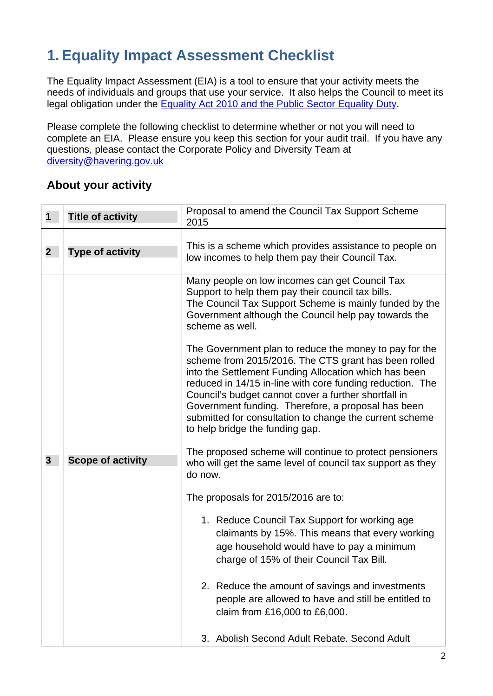## **1. Equality Impact Assessment Checklist**

The Equality Impact Assessment (EIA) is a tool to ensure that your activity meets the needs of individuals and groups that use your service. It also helps the Council to meet its legal obligation under the Equality Act 2010 and the Public Sector Equality Duty.

Please complete the following checklist to determine whether or not you will need to complete an EIA. Please ensure you keep this section for your audit trail. If you have any questions, please contact the Corporate Policy and Diversity Team at diversity@havering.gov.uk

## **About your activity**

| 1           | <b>Title of activity</b> | Proposal to amend the Council Tax Support Scheme<br>2015                                                                                                                                                                                                                                                                                                                                                                                         |
|-------------|--------------------------|--------------------------------------------------------------------------------------------------------------------------------------------------------------------------------------------------------------------------------------------------------------------------------------------------------------------------------------------------------------------------------------------------------------------------------------------------|
| $\mathbf 2$ | <b>Type of activity</b>  | This is a scheme which provides assistance to people on<br>low incomes to help them pay their Council Tax.                                                                                                                                                                                                                                                                                                                                       |
|             |                          | Many people on low incomes can get Council Tax<br>Support to help them pay their council tax bills.<br>The Council Tax Support Scheme is mainly funded by the<br>Government although the Council help pay towards the<br>scheme as well.                                                                                                                                                                                                         |
| 3           |                          | The Government plan to reduce the money to pay for the<br>scheme from 2015/2016. The CTS grant has been rolled<br>into the Settlement Funding Allocation which has been<br>reduced in 14/15 in-line with core funding reduction. The<br>Council's budget cannot cover a further shortfall in<br>Government funding. Therefore, a proposal has been<br>submitted for consultation to change the current scheme<br>to help bridge the funding gap. |
|             | <b>Scope of activity</b> | The proposed scheme will continue to protect pensioners<br>who will get the same level of council tax support as they<br>do now.                                                                                                                                                                                                                                                                                                                 |
|             |                          | The proposals for 2015/2016 are to:                                                                                                                                                                                                                                                                                                                                                                                                              |
|             |                          | 1. Reduce Council Tax Support for working age<br>claimants by 15%. This means that every working<br>age household would have to pay a minimum<br>charge of 15% of their Council Tax Bill.                                                                                                                                                                                                                                                        |
|             |                          | 2. Reduce the amount of savings and investments<br>people are allowed to have and still be entitled to<br>claim from £16,000 to £6,000.                                                                                                                                                                                                                                                                                                          |
|             |                          | Abolish Second Adult Rebate, Second Adult<br>3.                                                                                                                                                                                                                                                                                                                                                                                                  |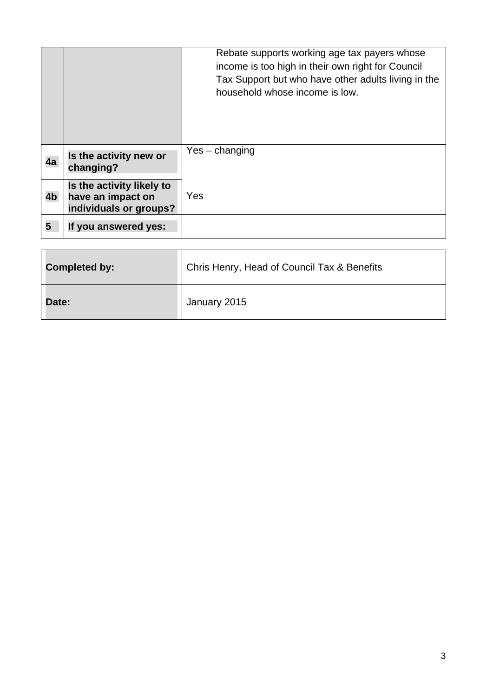|    |                                                                          | Rebate supports working age tax payers whose<br>income is too high in their own right for Council<br>Tax Support but who have other adults living in the<br>household whose income is low. |
|----|--------------------------------------------------------------------------|--------------------------------------------------------------------------------------------------------------------------------------------------------------------------------------------|
| 4a | Is the activity new or<br>changing?                                      | $Yes - changing$                                                                                                                                                                           |
| 4b | Is the activity likely to<br>have an impact on<br>individuals or groups? | Yes                                                                                                                                                                                        |
| 5  | If you answered yes:                                                     |                                                                                                                                                                                            |

| Completed by: | Chris Henry, Head of Council Tax & Benefits |  |
|---------------|---------------------------------------------|--|
| <b>Date:</b>  | January 2015                                |  |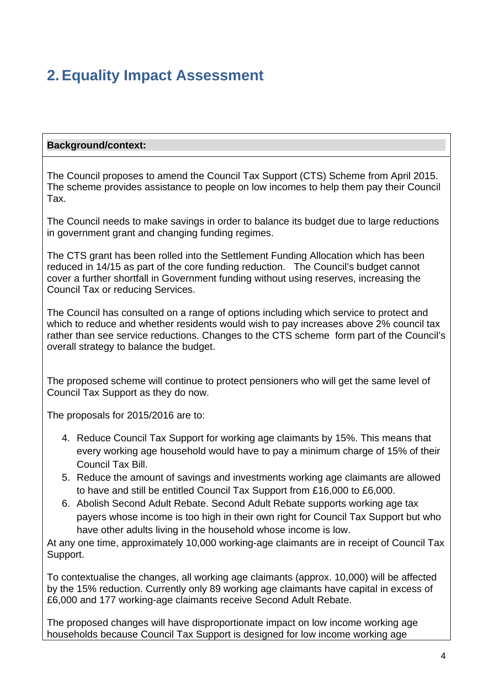## **2. Equality Impact Assessment**

#### **Background/context:**

The Council proposes to amend the Council Tax Support (CTS) Scheme from April 2015. The scheme provides assistance to people on low incomes to help them pay their Council Tax.

The Council needs to make savings in order to balance its budget due to large reductions in government grant and changing funding regimes.

The CTS grant has been rolled into the Settlement Funding Allocation which has been reduced in 14/15 as part of the core funding reduction. The Council's budget cannot cover a further shortfall in Government funding without using reserves, increasing the Council Tax or reducing Services.

The Council has consulted on a range of options including which service to protect and which to reduce and whether residents would wish to pay increases above 2% council tax rather than see service reductions. Changes to the CTS scheme form part of the Council's overall strategy to balance the budget.

The proposed scheme will continue to protect pensioners who will get the same level of Council Tax Support as they do now.

The proposals for 2015/2016 are to:

- 4. Reduce Council Tax Support for working age claimants by 15%. This means that every working age household would have to pay a minimum charge of 15% of their Council Tax Bill.
- 5. Reduce the amount of savings and investments working age claimants are allowed to have and still be entitled Council Tax Support from £16,000 to £6,000.
- 6. Abolish Second Adult Rebate. Second Adult Rebate supports working age tax payers whose income is too high in their own right for Council Tax Support but who have other adults living in the household whose income is low.

At any one time, approximately 10,000 working-age claimants are in receipt of Council Tax Support.

To contextualise the changes, all working age claimants (approx. 10,000) will be affected by the 15% reduction. Currently only 89 working age claimants have capital in excess of £6,000 and 177 working-age claimants receive Second Adult Rebate.

The proposed changes will have disproportionate impact on low income working age households because Council Tax Support is designed for low income working age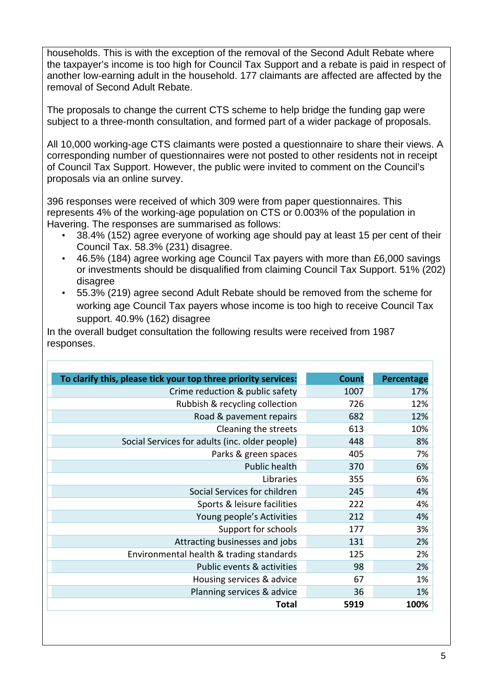households. This is with the exception of the removal of the Second Adult Rebate where the taxpayer's income is too high for Council Tax Support and a rebate is paid in respect of another low-earning adult in the household. 177 claimants are affected are affected by the removal of Second Adult Rebate.

The proposals to change the current CTS scheme to help bridge the funding gap were subject to a three-month consultation, and formed part of a wider package of proposals.

All 10,000 working-age CTS claimants were posted a questionnaire to share their views. A corresponding number of questionnaires were not posted to other residents not in receipt of Council Tax Support. However, the public were invited to comment on the Council's proposals via an online survey.

396 responses were received of which 309 were from paper questionnaires. This represents 4% of the working-age population on CTS or 0.003% of the population in Havering. The responses are summarised as follows:

- 38.4% (152) agree everyone of working age should pay at least 15 per cent of their Council Tax. 58.3% (231) disagree.
- 46.5% (184) agree working age Council Tax payers with more than £6,000 savings or investments should be disqualified from claiming Council Tax Support. 51% (202) disagree
- • 55.3% (219) agree second Adult Rebate should be removed from the scheme for working age Council Tax payers whose income is too high to receive Council Tax support. 40.9% (162) disagree

In the overall budget consultation the following results were received from 1987 responses.

| To clarify this, please tick your top three priority services: | Count | Percentage |
|----------------------------------------------------------------|-------|------------|
| Crime reduction & public safety                                | 1007  | 17%        |
| Rubbish & recycling collection                                 | 726   | 12%        |
| Road & pavement repairs                                        | 682   | 12%        |
| Cleaning the streets                                           | 613   | 10%        |
| Social Services for adults (inc. older people)                 | 448   | 8%         |
| Parks & green spaces                                           | 405   | 7%         |
| Public health                                                  | 370   | 6%         |
| Libraries                                                      | 355   | 6%         |
| Social Services for children                                   | 245   | 4%         |
| Sports & leisure facilities                                    | 222   | 4%         |
| Young people's Activities                                      | 212   | 4%         |
| Support for schools                                            | 177   | 3%         |
| Attracting businesses and jobs                                 | 131   | 2%         |
| Environmental health & trading standards                       | 125   | 2%         |
| Public events & activities                                     | 98    | 2%         |
| Housing services & advice                                      | 67    | 1%         |
| Planning services & advice                                     | 36    | 1%         |
| Total                                                          | 5919  | 100%       |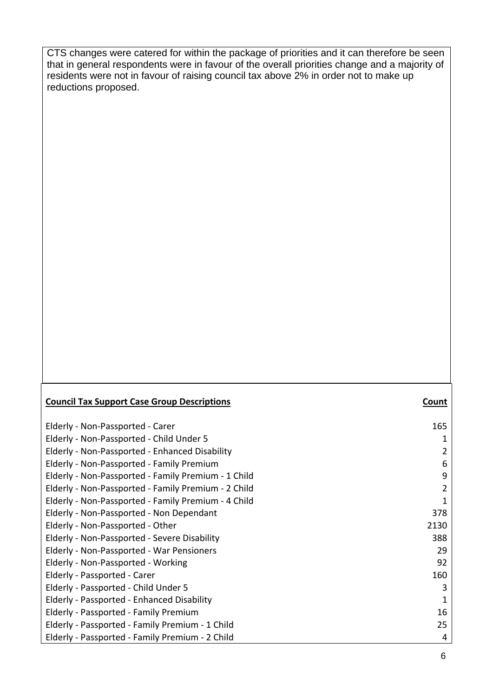CTS changes were catered for within the package of priorities and it can therefore be seen that in general respondents were in favour of the overall priorities change and a majority of residents were not in favour of raising council tax above 2% in order not to make up reductions proposed.

### **Council Tax Support Case Group Descriptions Count** Elderly ‐ Non‐Passported ‐ Child Under 5 1 Elderly ‐ Non‐Passported ‐ Enhanced Disability 2 Elderly ‐ Non‐Passported ‐ Family Premium 6 Elderly ‐ Non‐Passported ‐ Family Premium ‐ 1 Child 9 Elderly ‐ Non‐Passported ‐ Family Premium ‐ 2 Child 2 Elderly ‐ Non‐Passported ‐ Family Premium ‐ 4 Child 1 Elderly ‐ Non‐Passported ‐ Non Dependant 378 Elderly ‐ Non‐Passported ‐ Severe Disability 388 Elderly ‐ Non‐Passported ‐ War Pensioners 29 Elderly ‐ Passported ‐ Child Under 5 3 Elderly ‐ Passported ‐ Enhanced Disability 1 Elderly - Passported - Family Premium 16 Elderly ‐ Passported ‐ Family Premium ‐ 1 Child 25 Elderly ‐ Passported ‐ Family Premium ‐ 2 Child 4 Elderly ‐ Non‐Passported ‐ Carer 165 Elderly - Non-Passported - Other 2130 Elderly - Non-Passported - Working 92 Elderly ‐ Passported ‐ Carer 160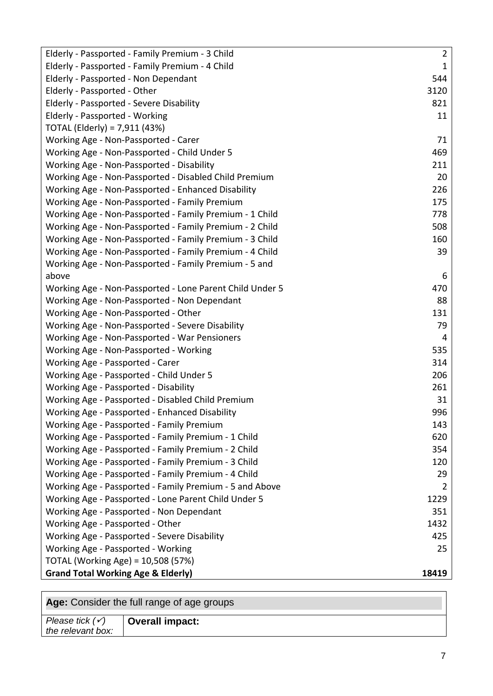| Elderly - Passported - Family Premium - 3 Child          | $\overline{2}$ |
|----------------------------------------------------------|----------------|
| Elderly - Passported - Family Premium - 4 Child          | $\mathbf{1}$   |
| Elderly - Passported - Non Dependant                     | 544            |
| Elderly - Passported - Other                             | 3120           |
| Elderly - Passported - Severe Disability                 | 821            |
| Elderly - Passported - Working                           | 11             |
| TOTAL (Elderly) = 7,911 (43%)                            |                |
| Working Age - Non-Passported - Carer                     | 71             |
| Working Age - Non-Passported - Child Under 5             | 469            |
| Working Age - Non-Passported - Disability                | 211            |
| Working Age - Non-Passported - Disabled Child Premium    | 20             |
| Working Age - Non-Passported - Enhanced Disability       | 226            |
| Working Age - Non-Passported - Family Premium            | 175            |
| Working Age - Non-Passported - Family Premium - 1 Child  | 778            |
| Working Age - Non-Passported - Family Premium - 2 Child  | 508            |
| Working Age - Non-Passported - Family Premium - 3 Child  | 160            |
| Working Age - Non-Passported - Family Premium - 4 Child  | 39             |
| Working Age - Non-Passported - Family Premium - 5 and    |                |
| above                                                    | 6              |
| Working Age - Non-Passported - Lone Parent Child Under 5 | 470            |
| Working Age - Non-Passported - Non Dependant             | 88             |
| Working Age - Non-Passported - Other                     | 131            |
| Working Age - Non-Passported - Severe Disability         | 79             |
| Working Age - Non-Passported - War Pensioners            | 4              |
| Working Age - Non-Passported - Working                   | 535            |
| Working Age - Passported - Carer                         | 314            |
| Working Age - Passported - Child Under 5                 | 206            |
| Working Age - Passported - Disability                    | 261            |
| Working Age - Passported - Disabled Child Premium        | 31             |
| Working Age - Passported - Enhanced Disability           | 996            |
| Working Age - Passported - Family Premium                | 143            |
| Working Age - Passported - Family Premium - 1 Child      | 620            |
| Working Age - Passported - Family Premium - 2 Child      | 354            |
| Working Age - Passported - Family Premium - 3 Child      | 120            |
| Working Age - Passported - Family Premium - 4 Child      | 29             |
| Working Age - Passported - Family Premium - 5 and Above  | 2              |
| Working Age - Passported - Lone Parent Child Under 5     | 1229           |
| Working Age - Passported - Non Dependant                 | 351            |
| Working Age - Passported - Other                         | 1432           |
| Working Age - Passported - Severe Disability             | 425            |
| Working Age - Passported - Working                       | 25             |
| TOTAL (Working Age) = 10,508 (57%)                       |                |
| <b>Grand Total Working Age &amp; Elderly)</b>            | 18419          |
|                                                          |                |

| Age: Consider the full range of age groups      |                 |  |
|-------------------------------------------------|-----------------|--|
| Please tick $(\checkmark)$<br>the relevant box: | Overall impact: |  |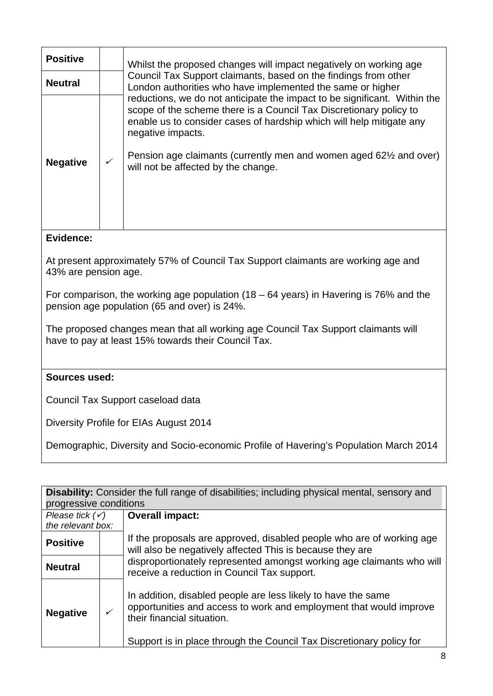| <b>Positive</b> |   | Whilst the proposed changes will impact negatively on working age                                                                                                                                                                                                                                                                                                      |
|-----------------|---|------------------------------------------------------------------------------------------------------------------------------------------------------------------------------------------------------------------------------------------------------------------------------------------------------------------------------------------------------------------------|
| <b>Neutral</b>  |   | Council Tax Support claimants, based on the findings from other<br>London authorities who have implemented the same or higher                                                                                                                                                                                                                                          |
| <b>Negative</b> | ✓ | reductions, we do not anticipate the impact to be significant. Within the<br>scope of the scheme there is a Council Tax Discretionary policy to<br>enable us to consider cases of hardship which will help mitigate any<br>negative impacts.<br>Pension age claimants (currently men and women aged 62 <sup>1/2</sup> and over)<br>will not be affected by the change. |

At present approximately 57% of Council Tax Support claimants are working age and 43% are pension age.

For comparison, the working age population (18 – 64 years) in Havering is 76% and the pension age population (65 and over) is 24%.

The proposed changes mean that all working age Council Tax Support claimants will have to pay at least 15% towards their Council Tax.

#### **Sources used:**

Council Tax Support caseload data

Diversity Profile for EIAs August 2014

| <b>Disability:</b> Consider the full range of disabilities; including physical mental, sensory and |                        |                                                                                                                                                                                                                                           |  |
|----------------------------------------------------------------------------------------------------|------------------------|-------------------------------------------------------------------------------------------------------------------------------------------------------------------------------------------------------------------------------------------|--|
|                                                                                                    | progressive conditions |                                                                                                                                                                                                                                           |  |
| Please tick $(\checkmark)$                                                                         |                        | <b>Overall impact:</b>                                                                                                                                                                                                                    |  |
| the relevant box:                                                                                  |                        |                                                                                                                                                                                                                                           |  |
| <b>Positive</b>                                                                                    |                        | If the proposals are approved, disabled people who are of working age<br>will also be negatively affected This is because they are                                                                                                        |  |
| <b>Neutral</b>                                                                                     |                        | disproportionately represented amongst working age claimants who will<br>receive a reduction in Council Tax support.                                                                                                                      |  |
| <b>Negative</b>                                                                                    | ✓                      | In addition, disabled people are less likely to have the same<br>opportunities and access to work and employment that would improve<br>their financial situation.<br>Support is in place through the Council Tax Discretionary policy for |  |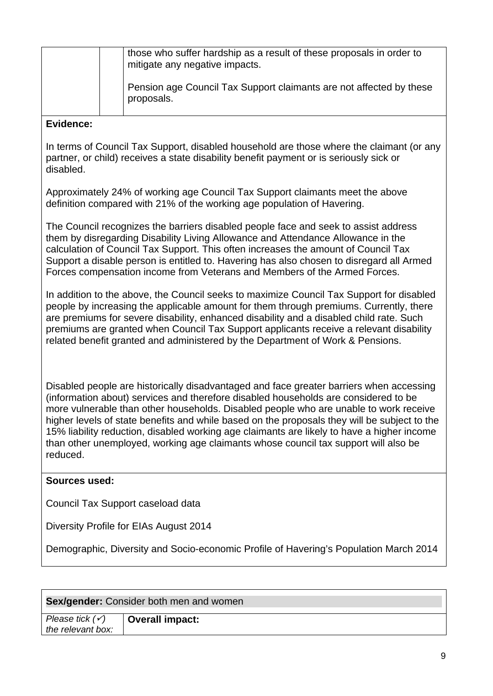| those who suffer hardship as a result of these proposals in order to<br>mitigate any negative impacts. |
|--------------------------------------------------------------------------------------------------------|
| Pension age Council Tax Support claimants are not affected by these<br>proposals.                      |

In terms of Council Tax Support, disabled household are those where the claimant (or any partner, or child) receives a state disability benefit payment or is seriously sick or disabled.

Approximately 24% of working age Council Tax Support claimants meet the above definition compared with 21% of the working age population of Havering.

The Council recognizes the barriers disabled people face and seek to assist address them by disregarding Disability Living Allowance and Attendance Allowance in the calculation of Council Tax Support. This often increases the amount of Council Tax Support a disable person is entitled to. Havering has also chosen to disregard all Armed Forces compensation income from Veterans and Members of the Armed Forces.

In addition to the above, the Council seeks to maximize Council Tax Support for disabled people by increasing the applicable amount for them through premiums. Currently, there are premiums for severe disability, enhanced disability and a disabled child rate. Such premiums are granted when Council Tax Support applicants receive a relevant disability related benefit granted and administered by the Department of Work & Pensions.

Disabled people are historically disadvantaged and face greater barriers when accessing (information about) services and therefore disabled households are considered to be more vulnerable than other households. Disabled people who are unable to work receive higher levels of state benefits and while based on the proposals they will be subject to the 15% liability reduction, disabled working age claimants are likely to have a higher income than other unemployed, working age claimants whose council tax support will also be reduced.

#### **Sources used:**

Council Tax Support caseload data

Diversity Profile for EIAs August 2014

| Sex/gender: Consider both men and women |                        |  |
|-----------------------------------------|------------------------|--|
| Please tick $(\checkmark)$              | <b>Overall impact:</b> |  |
| the relevant box:                       |                        |  |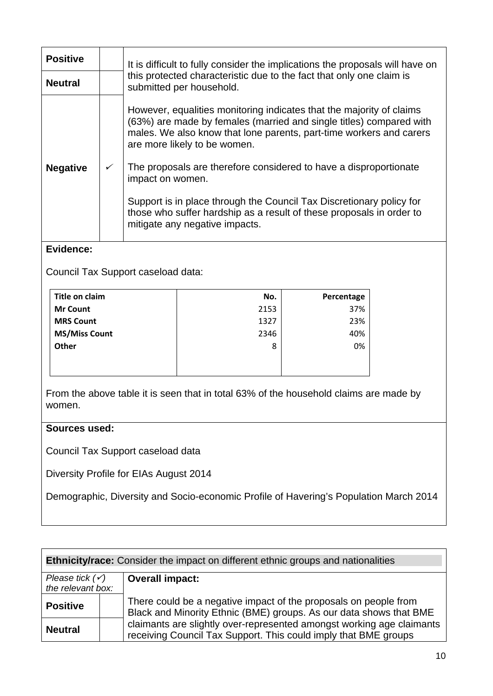| <b>Positive</b> |   | It is difficult to fully consider the implications the proposals will have on                                                                                                                                                                                                                                                                                                                                                                                                                                                 |  |
|-----------------|---|-------------------------------------------------------------------------------------------------------------------------------------------------------------------------------------------------------------------------------------------------------------------------------------------------------------------------------------------------------------------------------------------------------------------------------------------------------------------------------------------------------------------------------|--|
| <b>Neutral</b>  |   | this protected characteristic due to the fact that only one claim is<br>submitted per household.                                                                                                                                                                                                                                                                                                                                                                                                                              |  |
| <b>Negative</b> | ✓ | However, equalities monitoring indicates that the majority of claims<br>(63%) are made by females (married and single titles) compared with<br>males. We also know that lone parents, part-time workers and carers<br>are more likely to be women.<br>The proposals are therefore considered to have a disproportionate<br>impact on women.<br>Support is in place through the Council Tax Discretionary policy for<br>those who suffer hardship as a result of these proposals in order to<br>mitigate any negative impacts. |  |

Council Tax Support caseload data:

| Title on claim       | No.  | Percentage |
|----------------------|------|------------|
| <b>Mr Count</b>      | 2153 | 37%        |
| <b>MRS Count</b>     | 1327 | 23%        |
| <b>MS/Miss Count</b> | 2346 | 40%        |
| Other                | 8    | 0%         |
|                      |      |            |
|                      |      |            |

From the above table it is seen that in total 63% of the household claims are made by women.

#### **Sources used:**

Council Tax Support caseload data

Diversity Profile for EIAs August 2014

| <b>Ethnicity/race:</b> Consider the impact on different ethnic groups and nationalities |                                                                                                                                          |  |
|-----------------------------------------------------------------------------------------|------------------------------------------------------------------------------------------------------------------------------------------|--|
| Please tick $(\checkmark)$                                                              | <b>Overall impact:</b>                                                                                                                   |  |
| the relevant box:                                                                       |                                                                                                                                          |  |
| <b>Positive</b>                                                                         | There could be a negative impact of the proposals on people from<br>Black and Minority Ethnic (BME) groups. As our data shows that BME   |  |
| <b>Neutral</b>                                                                          | claimants are slightly over-represented amongst working age claimants<br>receiving Council Tax Support. This could imply that BME groups |  |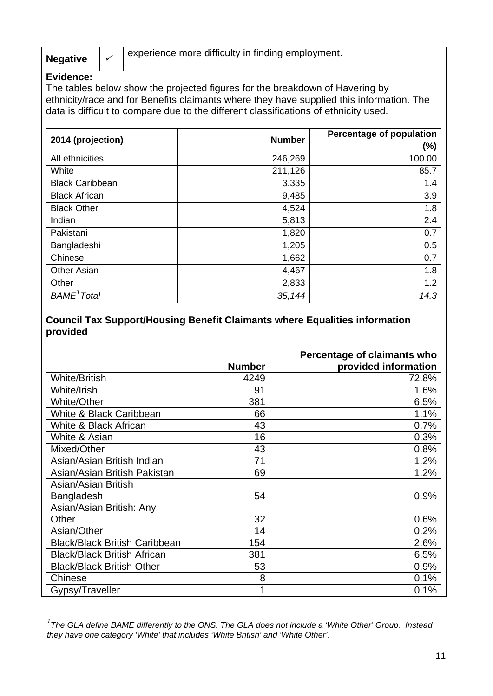|                 | experience more difficulty in finding employment. |
|-----------------|---------------------------------------------------|
| <b>Negative</b> |                                                   |

 $\overline{a}$ 

The tables below show the projected figures for the breakdown of Havering by ethnicity/race and for Benefits claimants where they have supplied this information. The data is difficult to compare due to the different classifications of ethnicity used.

| 2014 (projection)       | <b>Number</b> | <b>Percentage of population</b> |  |
|-------------------------|---------------|---------------------------------|--|
|                         |               | $(\%)$                          |  |
| All ethnicities         | 246,269       | 100.00                          |  |
| White                   | 211,126       | 85.7                            |  |
| <b>Black Caribbean</b>  | 3,335         | 1.4                             |  |
| <b>Black African</b>    | 9,485         | 3.9                             |  |
| <b>Black Other</b>      | 4,524         | 1.8                             |  |
| Indian                  | 5,813         | 2.4                             |  |
| Pakistani               | 1,820         | 0.7                             |  |
| Bangladeshi             | 1,205         | 0.5                             |  |
| Chinese                 | 1,662         | 0.7                             |  |
| <b>Other Asian</b>      | 4,467         | 1.8                             |  |
| Other                   | 2,833         | 1.2                             |  |
| BAME <sup>1</sup> Total | 35,144        | 14.3                            |  |

#### **Council Tax Support/Housing Benefit Claimants where Equalities information provided**

|                                      |               | Percentage of claimants who |
|--------------------------------------|---------------|-----------------------------|
|                                      | <b>Number</b> | provided information        |
| <b>White/British</b>                 | 4249          | 72.8%                       |
| White/Irish                          | 91            | 1.6%                        |
| White/Other                          | 381           | 6.5%                        |
| White & Black Caribbean              | 66            | 1.1%                        |
| White & Black African                | 43            | 0.7%                        |
| White & Asian                        | 16            | 0.3%                        |
| Mixed/Other                          | 43            | 0.8%                        |
| Asian/Asian British Indian           | 71            | 1.2%                        |
| Asian/Asian British Pakistan         | 69            | 1.2%                        |
| Asian/Asian British                  |               |                             |
| Bangladesh                           | 54            | 0.9%                        |
| Asian/Asian British: Any             |               |                             |
| Other                                | 32            | 0.6%                        |
| Asian/Other                          | 14            | 0.2%                        |
| <b>Black/Black British Caribbean</b> | 154           | 2.6%                        |
| <b>Black/Black British African</b>   | 381           | 6.5%                        |
| <b>Black/Black British Other</b>     | 53            | 0.9%                        |
| Chinese                              | 8             | 0.1%                        |
| Gypsy/Traveller                      |               | 0.1%                        |

<sup>&</sup>lt;sup>1</sup> The GLA define BAME differently to the ONS. The GLA does not include a 'White Other' Group. Instead *they have one category 'White' that includes 'White British' and 'White Other'.*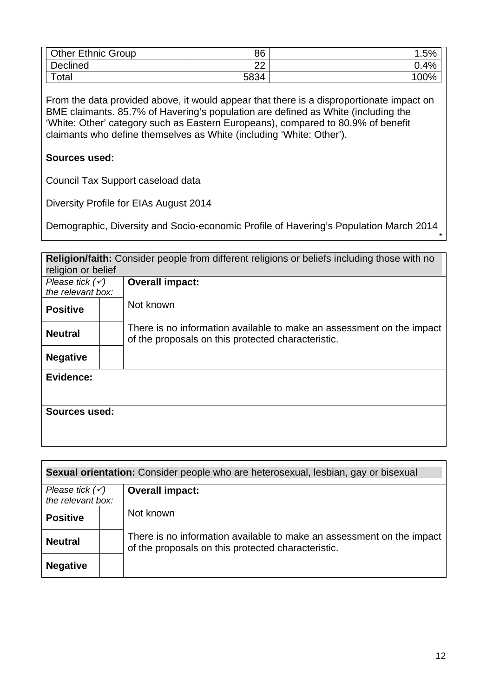| <b>Other Ethnic Group</b> | 86      | .5%  |
|---------------------------|---------|------|
| Declined                  | ົດ<br>ᅩ | 0.4% |
| $\tau$ otal               | 5834    | 100% |

From the data provided above, it would appear that there is a disproportionate impact on BME claimants. 85.7% of Havering's population are defined as White (including the 'White: Other' category such as Eastern Europeans), compared to 80.9% of benefit claimants who define themselves as White (including 'White: Other').

#### **Sources used:**

Council Tax Support caseload data

Diversity Profile for EIAs August 2014

Demographic, Diversity and Socio-economic Profile of Havering's Population March 2014

| <b>Religion/faith:</b> Consider people from different religions or beliefs including those with no |  |                                                                                                                             |  |
|----------------------------------------------------------------------------------------------------|--|-----------------------------------------------------------------------------------------------------------------------------|--|
| religion or belief                                                                                 |  |                                                                                                                             |  |
| Please tick $(\checkmark)$                                                                         |  | <b>Overall impact:</b>                                                                                                      |  |
| the relevant box:                                                                                  |  |                                                                                                                             |  |
| <b>Positive</b>                                                                                    |  | Not known                                                                                                                   |  |
| <b>Neutral</b>                                                                                     |  | There is no information available to make an assessment on the impact<br>of the proposals on this protected characteristic. |  |
| <b>Negative</b>                                                                                    |  |                                                                                                                             |  |
| Evidence:                                                                                          |  |                                                                                                                             |  |
| Sources used:                                                                                      |  |                                                                                                                             |  |

| Sexual orientation: Consider people who are heterosexual, lesbian, gay or bisexual |  |                                                                                                                             |  |
|------------------------------------------------------------------------------------|--|-----------------------------------------------------------------------------------------------------------------------------|--|
| Please tick $(\checkmark)$<br>the relevant box:                                    |  | <b>Overall impact:</b>                                                                                                      |  |
|                                                                                    |  | Not known                                                                                                                   |  |
| <b>Positive</b>                                                                    |  |                                                                                                                             |  |
| <b>Neutral</b>                                                                     |  | There is no information available to make an assessment on the impact<br>of the proposals on this protected characteristic. |  |
| <b>Negative</b>                                                                    |  |                                                                                                                             |  |

*\**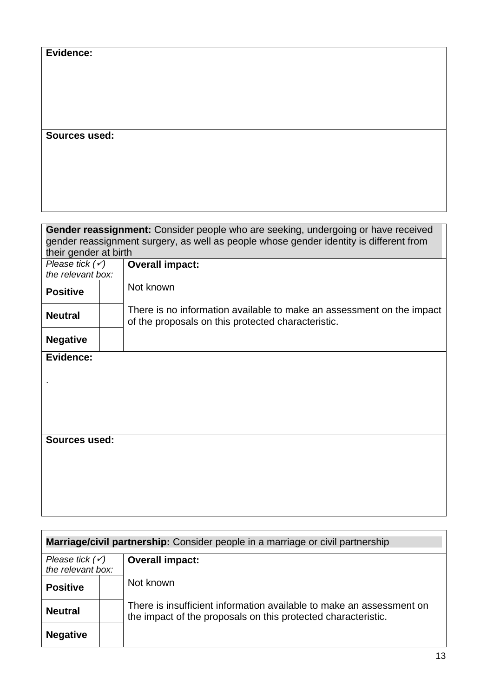**Sources used:** 

| Gender reassignment: Consider people who are seeking, undergoing or have received      |  |                                                                                                                             |
|----------------------------------------------------------------------------------------|--|-----------------------------------------------------------------------------------------------------------------------------|
| gender reassignment surgery, as well as people whose gender identity is different from |  |                                                                                                                             |
| their gender at birth                                                                  |  |                                                                                                                             |
| Please tick $(\checkmark)$                                                             |  | <b>Overall impact:</b>                                                                                                      |
| the relevant box:                                                                      |  |                                                                                                                             |
| <b>Positive</b>                                                                        |  | Not known                                                                                                                   |
| <b>Neutral</b>                                                                         |  | There is no information available to make an assessment on the impact<br>of the proposals on this protected characteristic. |
| <b>Negative</b>                                                                        |  |                                                                                                                             |
| Evidence:                                                                              |  |                                                                                                                             |
|                                                                                        |  |                                                                                                                             |
|                                                                                        |  |                                                                                                                             |
|                                                                                        |  |                                                                                                                             |
|                                                                                        |  |                                                                                                                             |
|                                                                                        |  |                                                                                                                             |
|                                                                                        |  |                                                                                                                             |
| Sources used:                                                                          |  |                                                                                                                             |
|                                                                                        |  |                                                                                                                             |
|                                                                                        |  |                                                                                                                             |
|                                                                                        |  |                                                                                                                             |
|                                                                                        |  |                                                                                                                             |
|                                                                                        |  |                                                                                                                             |
|                                                                                        |  |                                                                                                                             |

| <b>Marriage/civil partnership:</b> Consider people in a marriage or civil partnership |  |                                                                                                                                       |  |
|---------------------------------------------------------------------------------------|--|---------------------------------------------------------------------------------------------------------------------------------------|--|
| Please tick $(\checkmark)$<br>the relevant box:                                       |  | <b>Overall impact:</b>                                                                                                                |  |
|                                                                                       |  |                                                                                                                                       |  |
| <b>Positive</b>                                                                       |  | Not known                                                                                                                             |  |
| <b>Neutral</b>                                                                        |  | There is insufficient information available to make an assessment on<br>the impact of the proposals on this protected characteristic. |  |
| <b>Negative</b>                                                                       |  |                                                                                                                                       |  |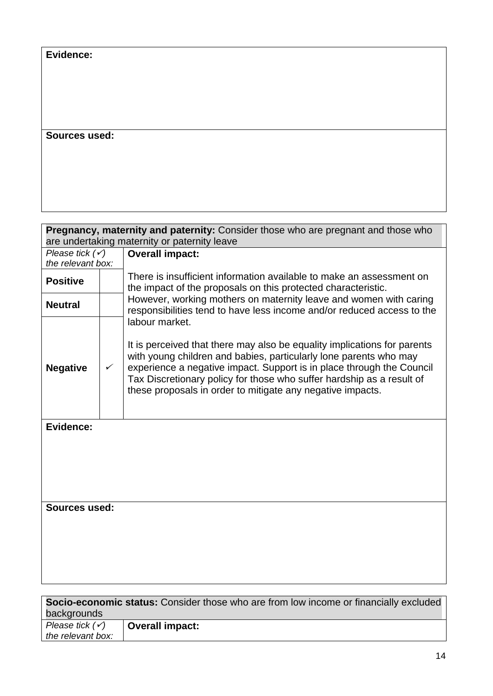### **Sources used:**

| <b>Pregnancy, maternity and paternity:</b> Consider those who are pregnant and those who<br>are undertaking maternity or paternity leave |   |                                                                                                                                                                                                                                                                                                                                                                                 |  |
|------------------------------------------------------------------------------------------------------------------------------------------|---|---------------------------------------------------------------------------------------------------------------------------------------------------------------------------------------------------------------------------------------------------------------------------------------------------------------------------------------------------------------------------------|--|
| Please tick $(\checkmark)$<br><b>Overall impact:</b>                                                                                     |   |                                                                                                                                                                                                                                                                                                                                                                                 |  |
| the relevant box:                                                                                                                        |   |                                                                                                                                                                                                                                                                                                                                                                                 |  |
| <b>Positive</b>                                                                                                                          |   | There is insufficient information available to make an assessment on<br>the impact of the proposals on this protected characteristic.                                                                                                                                                                                                                                           |  |
| <b>Neutral</b>                                                                                                                           |   | However, working mothers on maternity leave and women with caring<br>responsibilities tend to have less income and/or reduced access to the                                                                                                                                                                                                                                     |  |
| <b>Negative</b>                                                                                                                          | ✓ | labour market.<br>It is perceived that there may also be equality implications for parents<br>with young children and babies, particularly lone parents who may<br>experience a negative impact. Support is in place through the Council<br>Tax Discretionary policy for those who suffer hardship as a result of<br>these proposals in order to mitigate any negative impacts. |  |
| Evidence:                                                                                                                                |   |                                                                                                                                                                                                                                                                                                                                                                                 |  |
| Sources used:                                                                                                                            |   |                                                                                                                                                                                                                                                                                                                                                                                 |  |
| <b>Socio-economic status:</b> Consider those who are from low income or financially excluded                                             |   |                                                                                                                                                                                                                                                                                                                                                                                 |  |

| <b>Socio-economic status:</b> Consider those who are from low income or financially excluded |                 |  |  |  |
|----------------------------------------------------------------------------------------------|-----------------|--|--|--|
| backgrounds                                                                                  |                 |  |  |  |
| Please tick $(\checkmark)$                                                                   | Overall impact: |  |  |  |
| the relevant box:                                                                            |                 |  |  |  |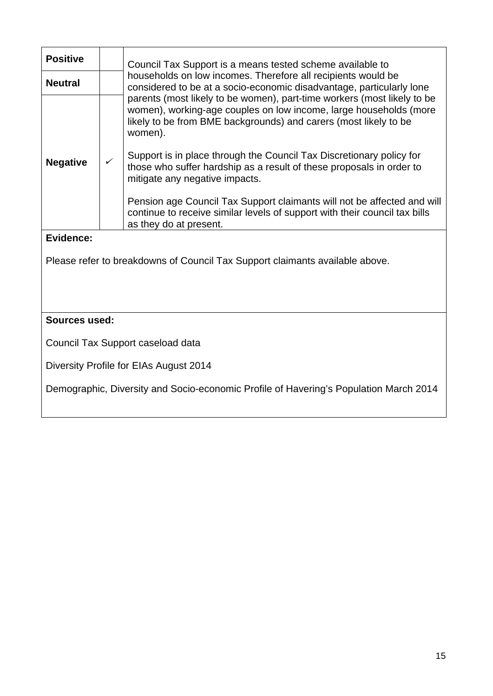| <b>Positive</b>                   |              | Council Tax Support is a means tested scheme available to                                                                                                                                                                   |  |  |  |
|-----------------------------------|--------------|-----------------------------------------------------------------------------------------------------------------------------------------------------------------------------------------------------------------------------|--|--|--|
| <b>Neutral</b>                    |              | households on low incomes. Therefore all recipients would be<br>considered to be at a socio-economic disadvantage, particularly lone                                                                                        |  |  |  |
|                                   |              | parents (most likely to be women), part-time workers (most likely to be<br>women), working-age couples on low income, large households (more<br>likely to be from BME backgrounds) and carers (most likely to be<br>women). |  |  |  |
| <b>Negative</b>                   | $\checkmark$ | Support is in place through the Council Tax Discretionary policy for<br>those who suffer hardship as a result of these proposals in order to<br>mitigate any negative impacts.                                              |  |  |  |
|                                   |              | Pension age Council Tax Support claimants will not be affected and will<br>continue to receive similar levels of support with their council tax bills<br>as they do at present.                                             |  |  |  |
| Evidence:                         |              |                                                                                                                                                                                                                             |  |  |  |
|                                   |              | Please refer to breakdowns of Council Tax Support claimants available above.                                                                                                                                                |  |  |  |
|                                   |              |                                                                                                                                                                                                                             |  |  |  |
|                                   |              |                                                                                                                                                                                                                             |  |  |  |
| <b>Sources used:</b>              |              |                                                                                                                                                                                                                             |  |  |  |
| Council Tax Support caseload data |              |                                                                                                                                                                                                                             |  |  |  |

Diversity Profile for EIAs August 2014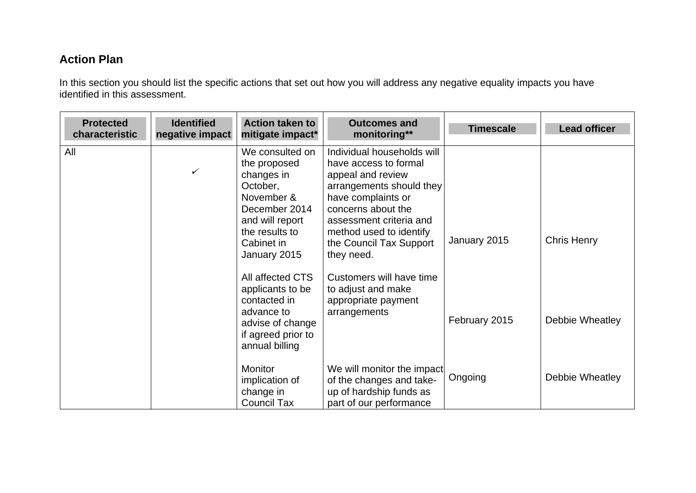## **Action Plan**

In this section you should list the specific actions that set out how you will address any negative equality impacts you have identified in this assessment.

| <b>Protected</b><br>characteristic | <b>Identified</b><br>negative impact | <b>Action taken to</b><br>mitigate impact*                                                                                                                                                                          | <b>Outcomes and</b><br>monitoring**                                                                                                                                                                                                                                                                                      | <b>Timescale</b> | <b>Lead officer</b> |
|------------------------------------|--------------------------------------|---------------------------------------------------------------------------------------------------------------------------------------------------------------------------------------------------------------------|--------------------------------------------------------------------------------------------------------------------------------------------------------------------------------------------------------------------------------------------------------------------------------------------------------------------------|------------------|---------------------|
| All                                | $\checkmark$                         | We consulted on<br>the proposed<br>changes in<br>October,<br>November &<br>December 2014<br>and will report<br>the results to<br>Cabinet in<br>January 2015<br>All affected CTS<br>applicants to be<br>contacted in | Individual households will<br>have access to formal<br>appeal and review<br>arrangements should they<br>have complaints or<br>concerns about the<br>assessment criteria and<br>method used to identify<br>the Council Tax Support<br>they need.<br>Customers will have time<br>to adjust and make<br>appropriate payment | January 2015     | <b>Chris Henry</b>  |
|                                    |                                      | advance to<br>advise of change<br>if agreed prior to<br>annual billing                                                                                                                                              | arrangements                                                                                                                                                                                                                                                                                                             | February 2015    | Debbie Wheatley     |
|                                    |                                      | Monitor<br>implication of<br>change in<br><b>Council Tax</b>                                                                                                                                                        | We will monitor the impact<br>of the changes and take-<br>up of hardship funds as<br>part of our performance                                                                                                                                                                                                             | Ongoing          | Debbie Wheatley     |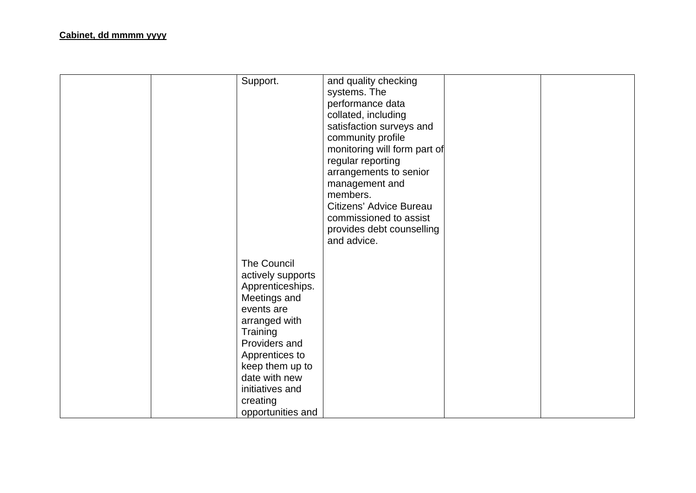| Support.                                                                                                                                                                                                                                          | and quality checking<br>systems. The<br>performance data<br>collated, including<br>satisfaction surveys and<br>community profile<br>monitoring will form part of<br>regular reporting<br>arrangements to senior<br>management and<br>members.<br>Citizens' Advice Bureau<br>commissioned to assist<br>provides debt counselling<br>and advice. |  |
|---------------------------------------------------------------------------------------------------------------------------------------------------------------------------------------------------------------------------------------------------|------------------------------------------------------------------------------------------------------------------------------------------------------------------------------------------------------------------------------------------------------------------------------------------------------------------------------------------------|--|
| <b>The Council</b><br>actively supports<br>Apprenticeships.<br>Meetings and<br>events are<br>arranged with<br>Training<br>Providers and<br>Apprentices to<br>keep them up to<br>date with new<br>initiatives and<br>creating<br>opportunities and |                                                                                                                                                                                                                                                                                                                                                |  |